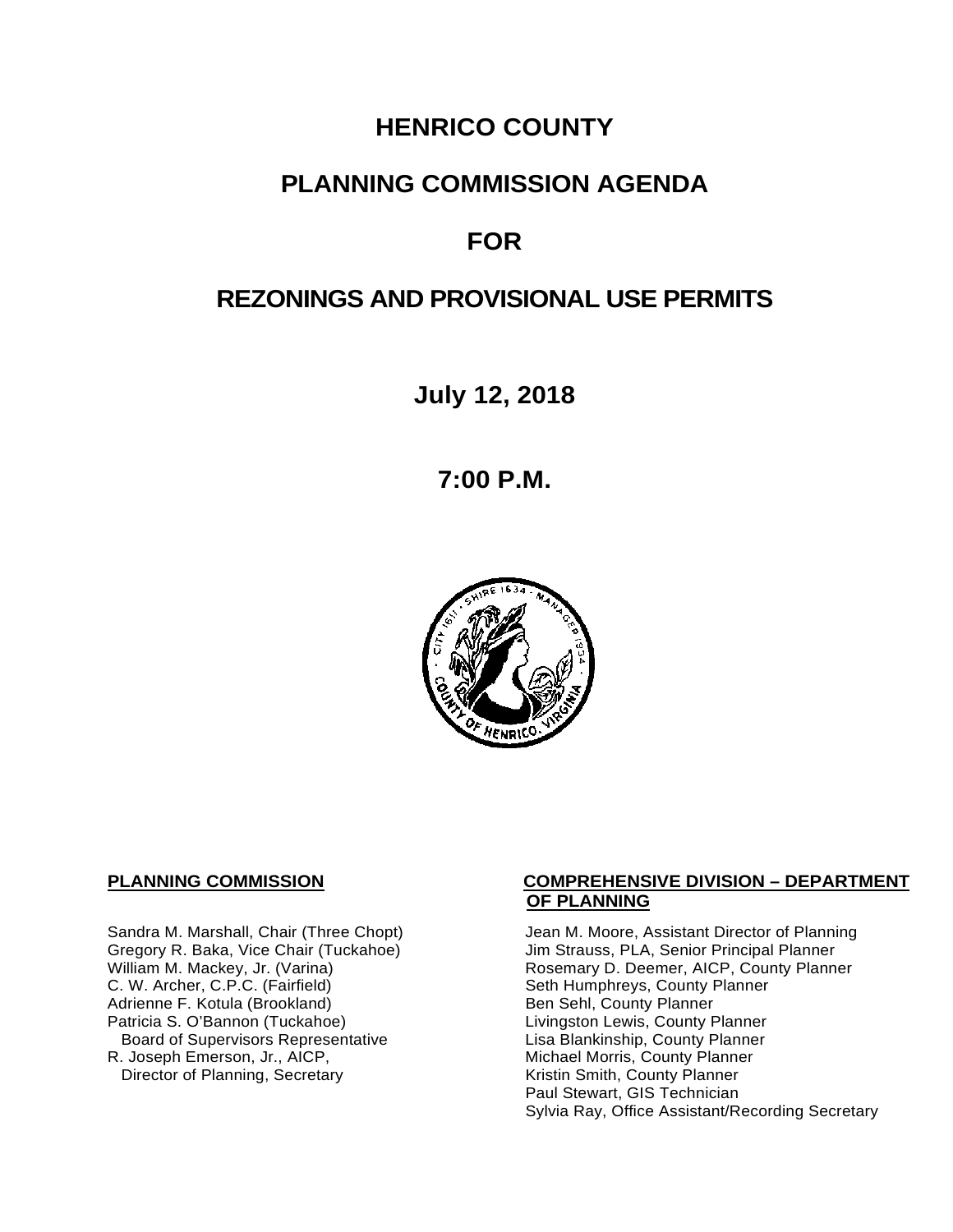# **HENRICO COUNTY**

## **PLANNING COMMISSION AGENDA**

# **FOR**

# **REZONINGS AND PROVISIONAL USE PERMITS**

**July 12, 2018**

**7:00 P.M.**



C. W. Archer, C.P.C. (Fairfield) Seth Humphreys, County I<br>Adrienne F. Kotula (Brookland) Seth Humphreys, County Planner Adrienne F. Kotula (Brookland)<br>Patricia S. O'Bannon (Tuckahoe) Board of Supervisors Representative<br>R. Joseph Emerson, Jr., AICP, Director of Planning, Secretary

#### **PLANNING COMMISSION COMPREHENSIVE DIVISION – DEPARTMENT OF PLANNING**

Sandra M. Marshall, Chair (Three Chopt) Jean M. Moore, Assistant Director of Planning<br>Gregory R. Baka, Vice Chair (Tuckahoe) Jim Strauss, PLA, Senior Principal Planner Gregory R. Baka, Vice Chair (Tuckahoe) *Jim Strauss, PLA, Senior Principal Planner*<br>William M. Mackey, Jr. (Varina) **Macking Principal Planner** Rosemary D. Deemer, AICP, County Planner Rosemary D. Deemer, AICP, County Planner<br>Seth Humphreys, County Planner Livingston Lewis, County Planner<br>Lisa Blankinship, County Planner Michael Morris, County Planner<br>Kristin Smith, County Planner Paul Stewart, GIS Technician Sylvia Ray, Office Assistant/Recording Secretary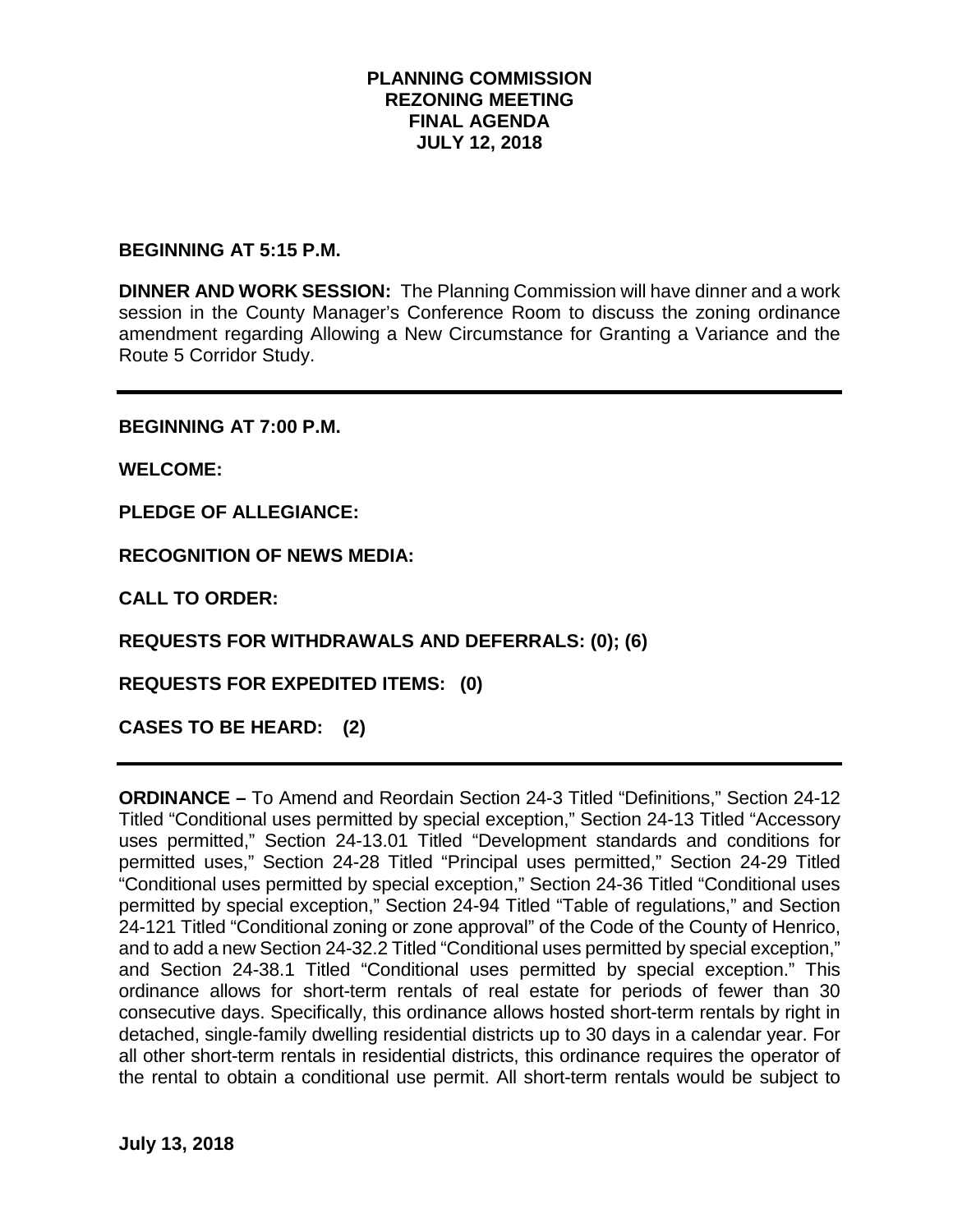#### **PLANNING COMMISSION REZONING MEETING FINAL AGENDA JULY 12, 2018**

#### **BEGINNING AT 5:15 P.M.**

**DINNER AND WORK SESSION:** The Planning Commission will have dinner and a work session in the County Manager's Conference Room to discuss the zoning ordinance amendment regarding Allowing a New Circumstance for Granting a Variance and the Route 5 Corridor Study.

**BEGINNING AT 7:00 P.M.**

**WELCOME:**

**PLEDGE OF ALLEGIANCE:**

**RECOGNITION OF NEWS MEDIA:**

**CALL TO ORDER:**

**REQUESTS FOR WITHDRAWALS AND DEFERRALS: (0); (6)**

**REQUESTS FOR EXPEDITED ITEMS: (0)**

**CASES TO BE HEARD: (2)**

**ORDINANCE –** To Amend and Reordain Section 24-3 Titled "Definitions," Section 24-12 Titled "Conditional uses permitted by special exception," Section 24-13 Titled "Accessory uses permitted," Section 24-13.01 Titled "Development standards and conditions for permitted uses," Section 24-28 Titled "Principal uses permitted," Section 24-29 Titled "Conditional uses permitted by special exception," Section 24-36 Titled "Conditional uses permitted by special exception," Section 24-94 Titled "Table of regulations," and Section 24-121 Titled "Conditional zoning or zone approval" of the Code of the County of Henrico, and to add a new Section 24-32.2 Titled "Conditional uses permitted by special exception," and Section 24-38.1 Titled "Conditional uses permitted by special exception." This ordinance allows for short-term rentals of real estate for periods of fewer than 30 consecutive days. Specifically, this ordinance allows hosted short-term rentals by right in detached, single-family dwelling residential districts up to 30 days in a calendar year. For all other short-term rentals in residential districts, this ordinance requires the operator of the rental to obtain a conditional use permit. All short-term rentals would be subject to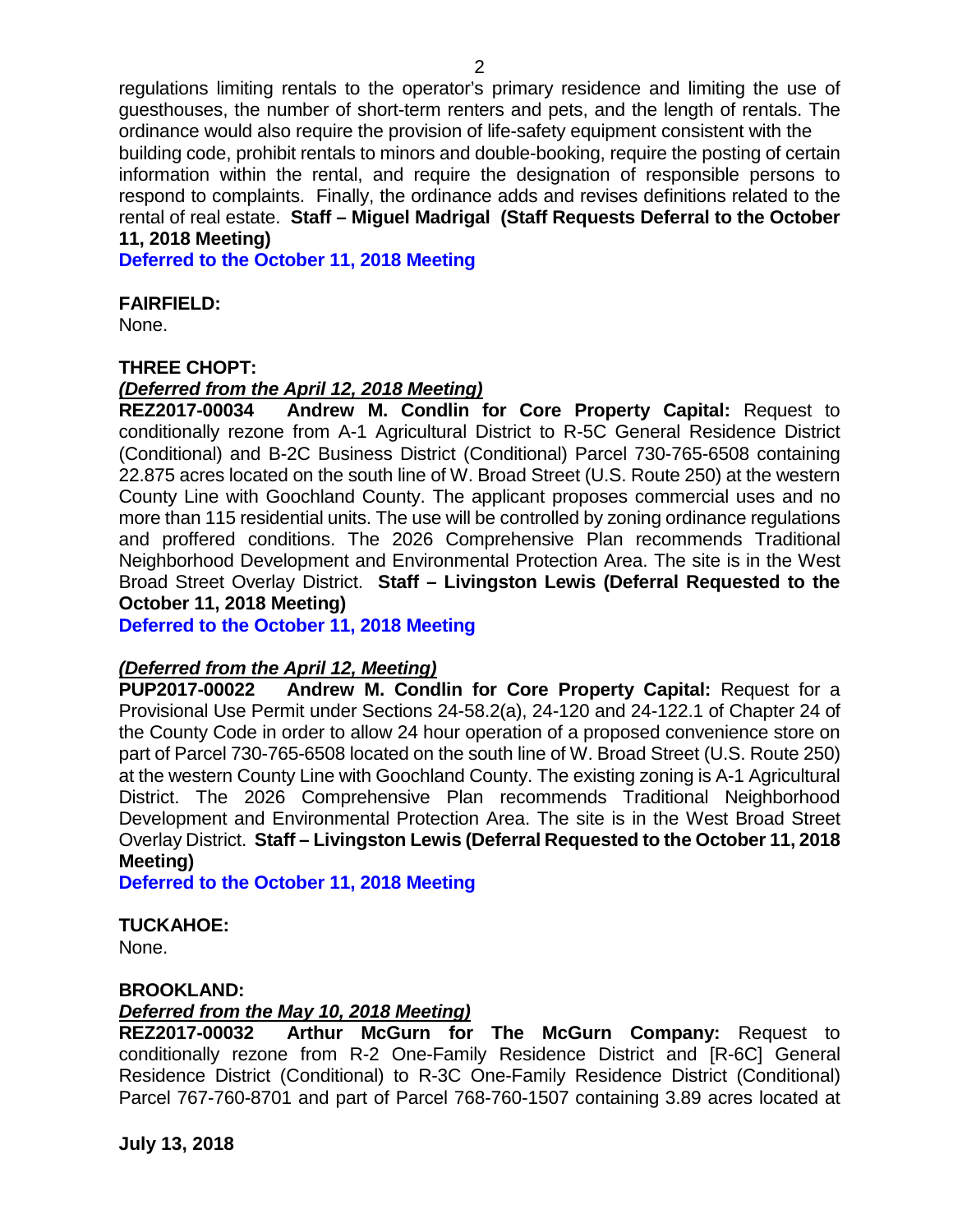regulations limiting rentals to the operator's primary residence and limiting the use of guesthouses, the number of short-term renters and pets, and the length of rentals. The ordinance would also require the provision of life-safety equipment consistent with the building code, prohibit rentals to minors and double-booking, require the posting of certain information within the rental, and require the designation of responsible persons to respond to complaints. Finally, the ordinance adds and revises definitions related to the rental of real estate. **Staff – Miguel Madrigal (Staff Requests Deferral to the October 11, 2018 Meeting)**

**Deferred to the October 11, 2018 Meeting**

#### **FAIRFIELD:**

None.

#### **THREE CHOPT:**

#### *(Deferred from the April 12, 2018 Meeting)*

**REZ2017-00034 Andrew M. Condlin for Core Property Capital:** Request to conditionally rezone from A-1 Agricultural District to R-5C General Residence District (Conditional) and B-2C Business District (Conditional) Parcel 730-765-6508 containing 22.875 acres located on the south line of W. Broad Street (U.S. Route 250) at the western County Line with Goochland County. The applicant proposes commercial uses and no more than 115 residential units. The use will be controlled by zoning ordinance regulations and proffered conditions. The 2026 Comprehensive Plan recommends Traditional Neighborhood Development and Environmental Protection Area. The site is in the West Broad Street Overlay District. **Staff – Livingston Lewis (Deferral Requested to the October 11, 2018 Meeting)**

**Deferred to the October 11, 2018 Meeting**

#### *(Deferred from the April 12, Meeting)*

**PUP2017-00022 Andrew M. Condlin for Core Property Capital:** Request for a Provisional Use Permit under Sections 24-58.2(a), 24-120 and 24-122.1 of Chapter 24 of the County Code in order to allow 24 hour operation of a proposed convenience store on part of Parcel 730-765-6508 located on the south line of W. Broad Street (U.S. Route 250) at the western County Line with Goochland County. The existing zoning is A-1 Agricultural District. The 2026 Comprehensive Plan recommends Traditional Neighborhood Development and Environmental Protection Area. The site is in the West Broad Street Overlay District. **Staff – Livingston Lewis (Deferral Requested to the October 11, 2018 Meeting)**

**Deferred to the October 11, 2018 Meeting**

#### **TUCKAHOE:**

None.

#### **BROOKLAND:**

#### *Deferred from the May 10, 2018 Meeting)*

**REZ2017-00032 Arthur McGurn for The McGurn Company:** Request to conditionally rezone from R-2 One-Family Residence District and [R-6C] General Residence District (Conditional) to R-3C One-Family Residence District (Conditional) Parcel 767-760-8701 and part of Parcel 768-760-1507 containing 3.89 acres located at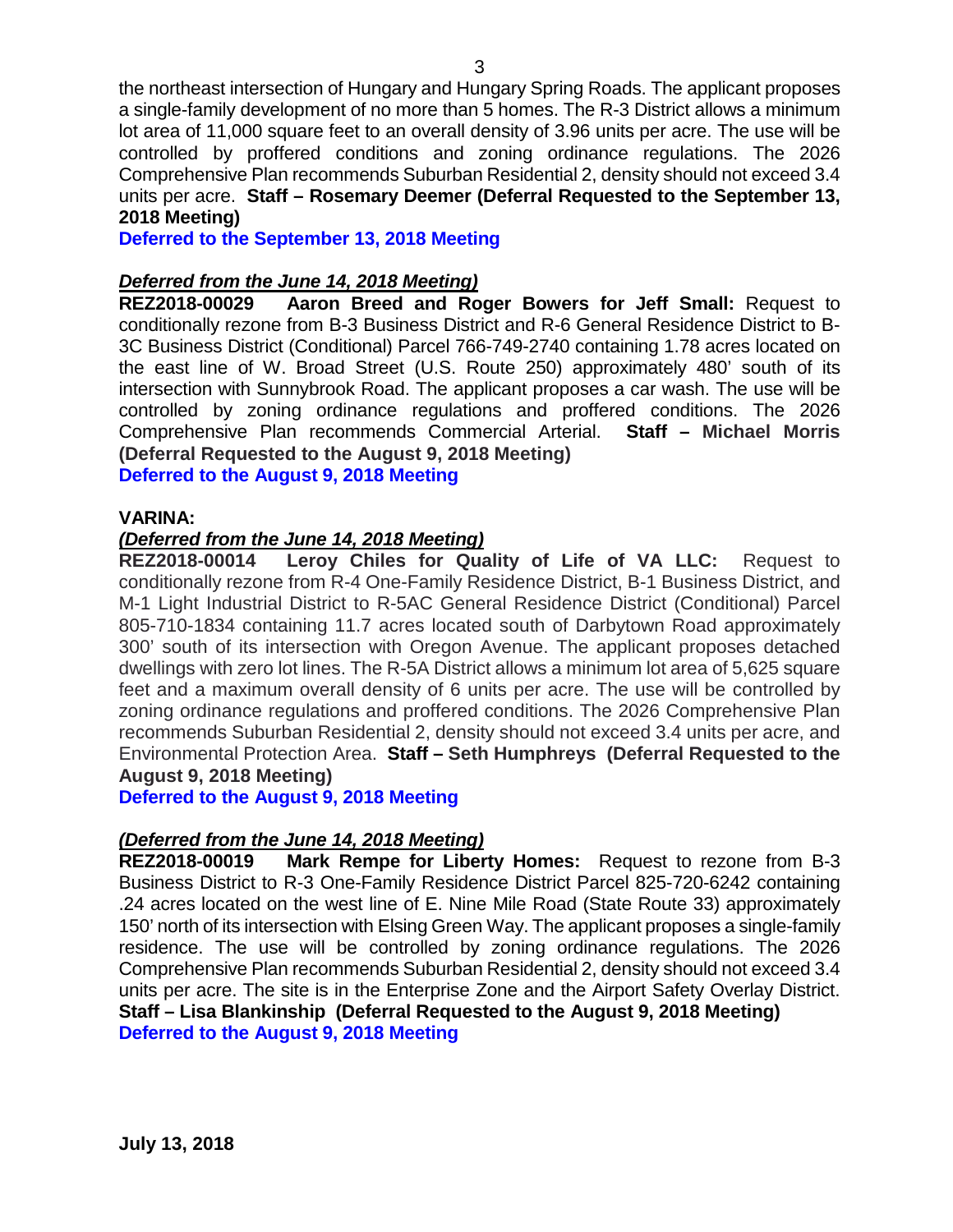the northeast intersection of Hungary and Hungary Spring Roads. The applicant proposes a single-family development of no more than 5 homes. The R-3 District allows a minimum lot area of 11,000 square feet to an overall density of 3.96 units per acre. The use will be controlled by proffered conditions and zoning ordinance regulations. The 2026 Comprehensive Plan recommends Suburban Residential 2, density should not exceed 3.4 units per acre. **Staff – Rosemary Deemer (Deferral Requested to the September 13, 2018 Meeting)**

**Deferred to the September 13, 2018 Meeting**

# *Deferred from the June 14, 2018 Meeting)*

Aaron Breed and Roger Bowers for Jeff Small: Request to conditionally rezone from B-3 Business District and R-6 General Residence District to B-3C Business District (Conditional) Parcel 766-749-2740 containing 1.78 acres located on the east line of W. Broad Street (U.S. Route 250) approximately 480' south of its intersection with Sunnybrook Road. The applicant proposes a car wash. The use will be controlled by zoning ordinance regulations and proffered conditions. The 2026 Comprehensive Plan recommends Commercial Arterial. **Staff – Michael Morris (Deferral Requested to the August 9, 2018 Meeting)**

**Deferred to the August 9, 2018 Meeting**

#### **VARINA:**

#### *(Deferred from the June 14, 2018 Meeting)*

**REZ2018-00014 Leroy Chiles for Quality of Life of VA LLC:** Request to conditionally rezone from R-4 One-Family Residence District, B-1 Business District, and M-1 Light Industrial District to R-5AC General Residence District (Conditional) Parcel 805-710-1834 containing 11.7 acres located south of Darbytown Road approximately 300' south of its intersection with Oregon Avenue. The applicant proposes detached dwellings with zero lot lines. The R-5A District allows a minimum lot area of 5,625 square feet and a maximum overall density of 6 units per acre. The use will be controlled by zoning ordinance regulations and proffered conditions. The 2026 Comprehensive Plan recommends Suburban Residential 2, density should not exceed 3.4 units per acre, and Environmental Protection Area. **Staff – Seth Humphreys (Deferral Requested to the August 9, 2018 Meeting)**

**Deferred to the August 9, 2018 Meeting**

#### *(Deferred from the June 14, 2018 Meeting)*

**REZ2018-00019 Mark Rempe for Liberty Homes:** Request to rezone from B-3 Business District to R-3 One-Family Residence District Parcel 825-720-6242 containing .24 acres located on the west line of E. Nine Mile Road (State Route 33) approximately 150' north of its intersection with Elsing Green Way. The applicant proposes a single-family residence. The use will be controlled by zoning ordinance regulations. The 2026 Comprehensive Plan recommends Suburban Residential 2, density should not exceed 3.4 units per acre. The site is in the Enterprise Zone and the Airport Safety Overlay District. **Staff – Lisa Blankinship (Deferral Requested to the August 9, 2018 Meeting) Deferred to the August 9, 2018 Meeting**